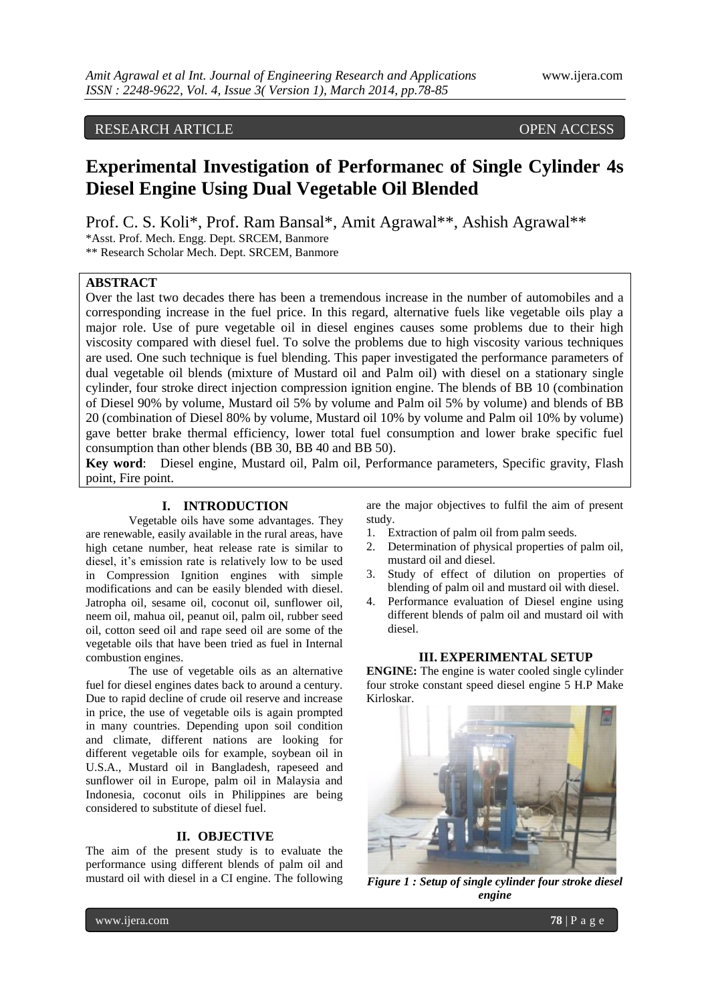# RESEARCH ARTICLE OPEN ACCESS

# **Experimental Investigation of Performanec of Single Cylinder 4s Diesel Engine Using Dual Vegetable Oil Blended**

Prof. C. S. Koli\*, Prof. Ram Bansal\*, Amit Agrawal\*\*, Ashish Agrawal\*\*

\*Asst. Prof. Mech. Engg. Dept. SRCEM, Banmore

\*\* Research Scholar Mech. Dept. SRCEM, Banmore

## **ABSTRACT**

Over the last two decades there has been a tremendous increase in the number of automobiles and a corresponding increase in the fuel price. In this regard, alternative fuels like vegetable oils play a major role. Use of pure vegetable oil in diesel engines causes some problems due to their high viscosity compared with diesel fuel. To solve the problems due to high viscosity various techniques are used. One such technique is fuel blending. This paper investigated the performance parameters of dual vegetable oil blends (mixture of Mustard oil and Palm oil) with diesel on a stationary single cylinder, four stroke direct injection compression ignition engine. The blends of BB 10 (combination of Diesel 90% by volume, Mustard oil 5% by volume and Palm oil 5% by volume) and blends of BB 20 (combination of Diesel 80% by volume, Mustard oil 10% by volume and Palm oil 10% by volume) gave better brake thermal efficiency, lower total fuel consumption and lower brake specific fuel consumption than other blends (BB 30, BB 40 and BB 50).

**Key word**: Diesel engine, Mustard oil, Palm oil, Performance parameters, Specific gravity, Flash point, Fire point.

# **I. INTRODUCTION**

Vegetable oils have some advantages. They are renewable, easily available in the rural areas, have high cetane number, heat release rate is similar to diesel, it's emission rate is relatively low to be used in Compression Ignition engines with simple modifications and can be easily blended with diesel. Jatropha oil, sesame oil, coconut oil, sunflower oil, neem oil, mahua oil, peanut oil, palm oil, rubber seed oil, cotton seed oil and rape seed oil are some of the vegetable oils that have been tried as fuel in Internal combustion engines.

The use of vegetable oils as an alternative fuel for diesel engines dates back to around a century. Due to rapid decline of crude oil reserve and increase in price, the use of vegetable oils is again prompted in many countries. Depending upon soil condition and climate, different nations are looking for different vegetable oils for example, soybean oil in U.S.A., Mustard oil in Bangladesh, rapeseed and sunflower oil in Europe, palm oil in Malaysia and Indonesia, coconut oils in Philippines are being considered to substitute of diesel fuel.

#### **II. OBJECTIVE**

The aim of the present study is to evaluate the performance using different blends of palm oil and mustard oil with diesel in a CI engine. The following

are the major objectives to fulfil the aim of present study.

- 1. Extraction of palm oil from palm seeds.
- 2. Determination of physical properties of palm oil, mustard oil and diesel.
- 3. Study of effect of dilution on properties of blending of palm oil and mustard oil with diesel.
- 4. Performance evaluation of Diesel engine using different blends of palm oil and mustard oil with diesel.

#### **III. EXPERIMENTAL SETUP**

**ENGINE:** The engine is water cooled single cylinder four stroke constant speed diesel engine 5 H.P Make Kirloskar.



*Figure 1 : Setup of single cylinder four stroke diesel engine*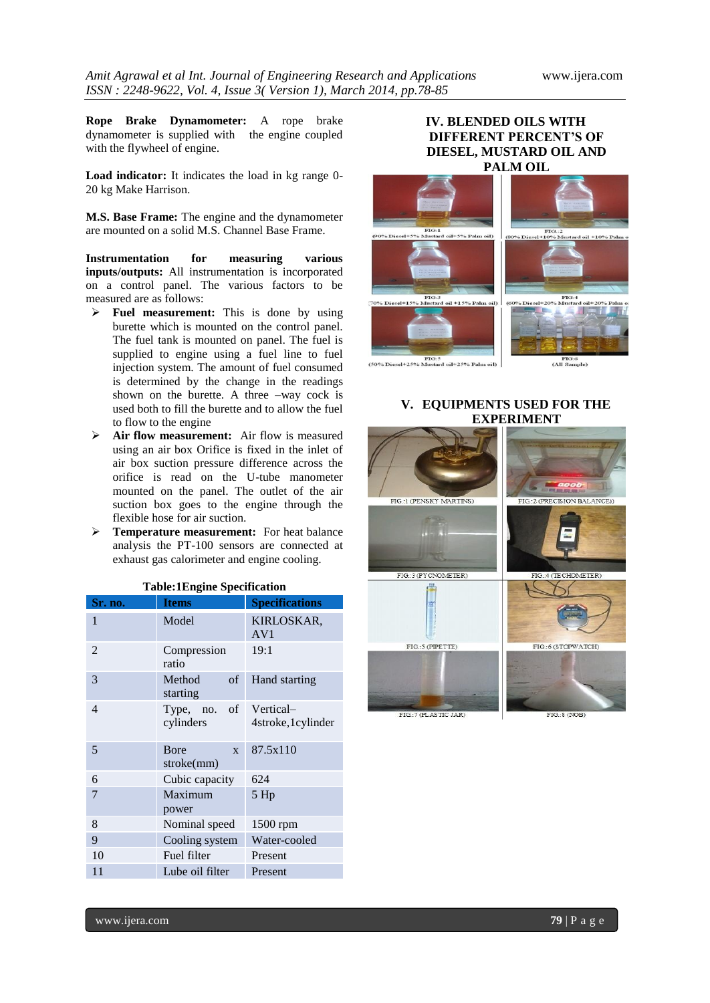**Rope Brake Dynamometer:** A rope brake dynamometer is supplied with the engine coupled with the flywheel of engine.

**Load indicator:** It indicates the load in kg range 0- 20 kg Make Harrison.

**M.S. Base Frame:** The engine and the dynamometer are mounted on a solid M.S. Channel Base Frame.

**Instrumentation for measuring various inputs/outputs:** All instrumentation is incorporated on a control panel. The various factors to be measured are as follows:

- **Fuel measurement:** This is done by using burette which is mounted on the control panel. The fuel tank is mounted on panel. The fuel is supplied to engine using a fuel line to fuel injection system. The amount of fuel consumed is determined by the change in the readings shown on the burette. A three –way cock is used both to fill the burette and to allow the fuel to flow to the engine
- **Air flow measurement:** Air flow is measured using an air box Orifice is fixed in the inlet of air box suction pressure difference across the orifice is read on the U-tube manometer mounted on the panel. The outlet of the air suction box goes to the engine through the flexible hose for air suction.
- **Temperature measurement:** For heat balance analysis the PT-100 sensors are connected at exhaust gas calorimeter and engine cooling.

| <b>Sr. no.</b> | <b>Items</b>                               | <b>Specifications</b>         |
|----------------|--------------------------------------------|-------------------------------|
| 1              | Model                                      | KIRLOSKAR,<br>AV <sub>1</sub> |
| 2              | Compression<br>ratio                       | 19:1                          |
| 3              | of<br>Method<br>starting                   | Hand starting                 |
| 4              | Type, no. of Vertical-<br>cylinders        | 4stroke, 1 cylinder           |
| 5              | <b>B</b> ore<br>$\mathbf{x}$<br>stroke(mm) | 87.5x110                      |
| 6              | Cubic capacity                             | 624                           |
| 7              | Maximum<br>power                           | 5 Hp                          |
| 8              | Nominal speed                              | 1500 rpm                      |
| 9              | Cooling system                             | Water-cooled                  |
| 10             | Fuel filter                                | Present                       |
| 11             | Lube oil filter                            | Present                       |

# **Table:1Engine Specification**

# **IV. BLENDED OILS WITH DIFFERENT PERCENT'S OF DIESEL, MUSTARD OIL AND PALM OIL**



FIG:5<br>(50% Diesel+25% Mustard oil+25% Palm oil)

FIG<br>(All Sar annole)

#### **V. EQUIPMENTS USED FOR THE EXPERIMENT**

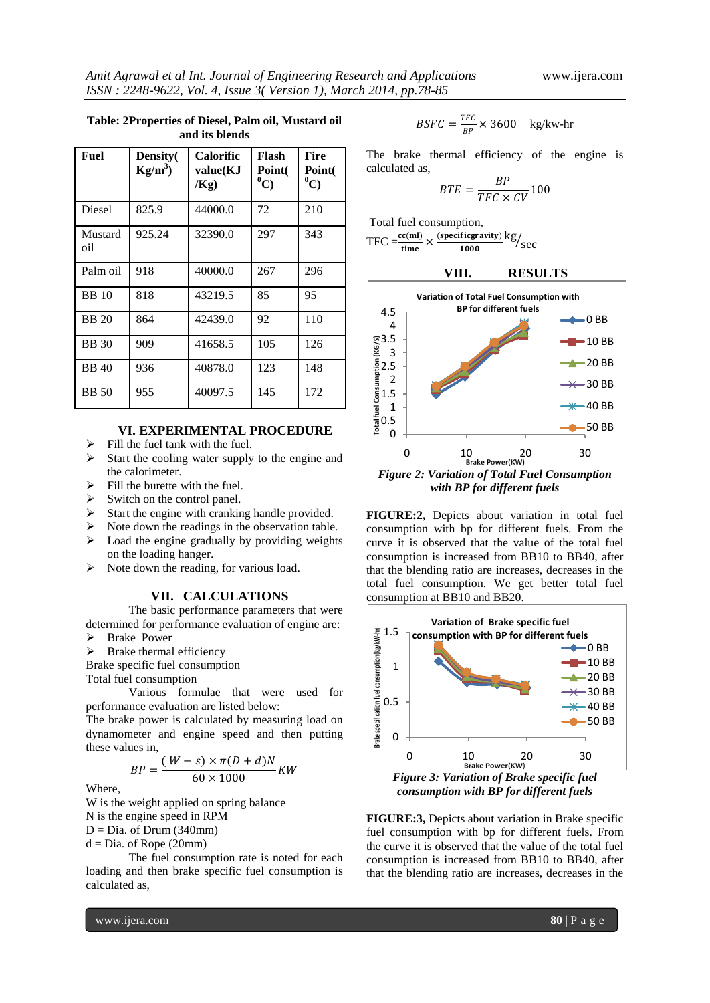| Fuel           | Density(<br>$Kg/m^3$ | <b>Calorific</b><br>value(KJ<br>/Kg) | Flash<br>Point(<br>$^0C)$ | Fire<br>Point(<br>$^0C)$ |
|----------------|----------------------|--------------------------------------|---------------------------|--------------------------|
| Diesel         | 825.9                | 44000.0                              | 72                        | 210                      |
| Mustard<br>oil | 925.24               | 32390.0                              | 297                       | 343                      |
| Palm oil       | 918                  | 40000.0                              | 267                       | 296                      |
| <b>BB</b> 10   | 818                  | 43219.5                              | 85                        | 95                       |
| <b>BB</b> 20   | 864                  | 42439.0                              | 92                        | 110                      |
| <b>BB</b> 30   | 909                  | 41658.5                              | 105                       | 126                      |
| <b>BB</b> 40   | 936                  | 40878.0                              | 123                       | 148                      |
| <b>BB</b> 50   | 955                  | 40097.5                              | 145                       | 172                      |

#### **Table: 2Properties of Diesel, Palm oil, Mustard oil and its blends**

**VI. EXPERIMENTAL PROCEDURE**

- $\triangleright$  Fill the fuel tank with the fuel.
- $\triangleright$  Start the cooling water supply to the engine and the calorimeter.
- $\triangleright$  Fill the burette with the fuel.
- $\triangleright$  Switch on the control panel.
- $\triangleright$  Start the engine with cranking handle provided.
- $\triangleright$  Note down the readings in the observation table.
- $\triangleright$  Load the engine gradually by providing weights on the loading hanger.
- $\triangleright$  Note down the reading, for various load.

#### **VII. CALCULATIONS**

The basic performance parameters that were determined for performance evaluation of engine are: > Brake Power

 $\triangleright$  Brake thermal efficiency

Brake specific fuel consumption

Total fuel consumption

Various formulae that were used for performance evaluation are listed below:

The brake power is calculated by measuring load on dynamometer and engine speed and then putting these values in,

$$
BP = \frac{(W - s) \times \pi (D + d)N}{60 \times 1000} KW
$$

Where,

W is the weight applied on spring balance N is the engine speed in RPM  $D = Dia$ . of Drum (340mm)  $d = Dia$ . of Rope (20mm)

The fuel consumption rate is noted for each loading and then brake specific fuel consumption is calculated as,

$$
BSFC = \frac{TFC}{BP} \times 3600 \quad \text{kg/kw-hr}
$$

The brake thermal efficiency of the engine is calculated as,

$$
BTE = \frac{BP}{TFC \times CV} 100
$$

Total fuel consumption,

$$
TFC = \frac{cc(mI)}{time} \times \frac{(specificgravity)}{1000} \frac{\text{kg}}{\text{sec}}
$$





*with BP for different fuels*

**FIGURE:2,** Depicts about variation in total fuel consumption with bp for different fuels. From the curve it is observed that the value of the total fuel consumption is increased from BB10 to BB40, after that the blending ratio are increases, decreases in the total fuel consumption. We get better total fuel consumption at BB10 and BB20.



*consumption with BP for different fuels*

**FIGURE:3,** Depicts about variation in Brake specific fuel consumption with bp for different fuels. From the curve it is observed that the value of the total fuel consumption is increased from BB10 to BB40, after that the blending ratio are increases, decreases in the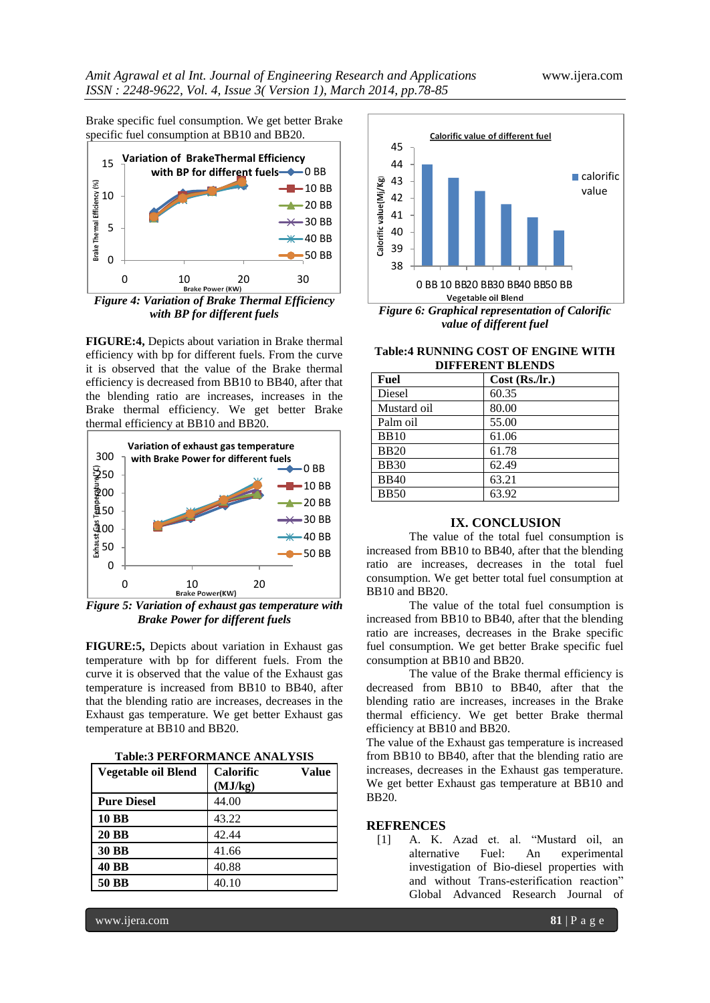Brake specific fuel consumption. We get better Brake specific fuel consumption at BB10 and BB20.



*Figure 4: Variation of Brake Thermal Efficiency with BP for different fuels*

**FIGURE:4,** Depicts about variation in Brake thermal efficiency with bp for different fuels. From the curve it is observed that the value of the Brake thermal efficiency is decreased from BB10 to BB40, after that the blending ratio are increases, increases in the Brake thermal efficiency. We get better Brake thermal efficiency at BB10 and BB20.



*Figure 5: Variation of exhaust gas temperature with Brake Power for different fuels*

**FIGURE:5,** Depicts about variation in Exhaust gas temperature with bp for different fuels. From the curve it is observed that the value of the Exhaust gas temperature is increased from BB10 to BB40, after that the blending ratio are increases, decreases in the Exhaust gas temperature. We get better Exhaust gas temperature at BB10 and BB20.

| Vegetable oil Blend | <b>Calorific</b><br>(MJ/kg) | Value |
|---------------------|-----------------------------|-------|
| <b>Pure Diesel</b>  | 44.00                       |       |
| <b>10 BB</b>        | 43.22                       |       |
| <b>20 BB</b>        | 42.44                       |       |
| <b>30 BB</b>        | 41.66                       |       |
| <b>40 BB</b>        | 40.88                       |       |
| 50 BB               | 40.10                       |       |



**Table:4 RUNNING COST OF ENGINE WITH DIFFERENT BLENDS**

| Fuel        | $Cost$ (Rs./lr.) |
|-------------|------------------|
| Diesel      | 60.35            |
| Mustard oil | 80.00            |
| Palm oil    | 55.00            |
| <b>BB10</b> | 61.06            |
| <b>BB20</b> | 61.78            |
| <b>BB30</b> | 62.49            |
| <b>BB40</b> | 63.21            |
| <b>BB50</b> | 63.92            |

#### **IX. CONCLUSION**

The value of the total fuel consumption is increased from BB10 to BB40, after that the blending ratio are increases, decreases in the total fuel consumption. We get better total fuel consumption at BB10 and BB20.

The value of the total fuel consumption is increased from BB10 to BB40, after that the blending ratio are increases, decreases in the Brake specific fuel consumption. We get better Brake specific fuel consumption at BB10 and BB20.

The value of the Brake thermal efficiency is decreased from BB10 to BB40, after that the blending ratio are increases, increases in the Brake thermal efficiency. We get better Brake thermal efficiency at BB10 and BB20.

The value of the Exhaust gas temperature is increased from BB10 to BB40, after that the blending ratio are increases, decreases in the Exhaust gas temperature. We get better Exhaust gas temperature at BB10 and BB20.

## **REFRENCES**

[1] A. K. Azad et. al. "Mustard oil, an alternative Fuel: An experimental investigation of Bio-diesel properties with and without Trans-esterification reaction" Global Advanced Research Journal of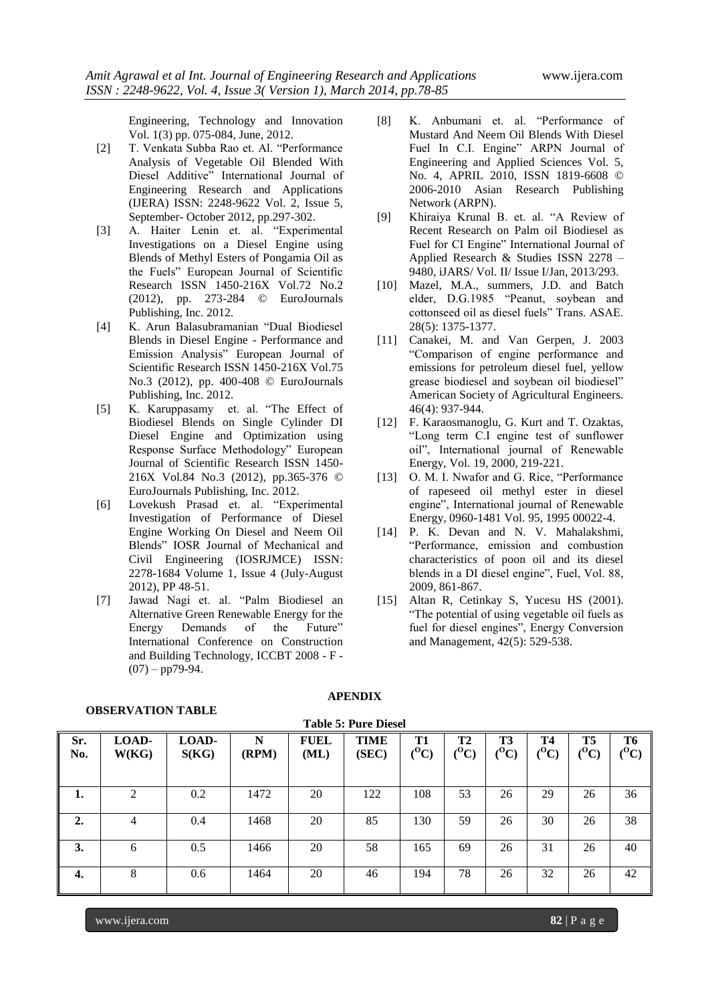Engineering, Technology and Innovation Vol. 1(3) pp. 075-084, June, 2012.

- [2] T. Venkata Subba Rao et. Al. "Performance Analysis of Vegetable Oil Blended With Diesel Additive" International Journal of Engineering Research and Applications (IJERA) ISSN: 2248-9622 Vol. 2, Issue 5, September- October 2012, pp.297-302.
- [3] A. Haiter Lenin et. al. "Experimental Investigations on a Diesel Engine using Blends of Methyl Esters of Pongamia Oil as the Fuels" European Journal of Scientific Research ISSN 1450-216X Vol.72 No.2 (2012), pp. 273-284 © EuroJournals Publishing, Inc. 2012.
- [4] K. Arun Balasubramanian "Dual Biodiesel Blends in Diesel Engine - Performance and Emission Analysis" European Journal of Scientific Research ISSN 1450-216X Vol.75 No.3 (2012), pp. 400-408 © EuroJournals Publishing, Inc. 2012.
- [5] K. Karuppasamy et. al. "The Effect of Biodiesel Blends on Single Cylinder DI Diesel Engine and Optimization using Response Surface Methodology" European Journal of Scientific Research ISSN 1450- 216X Vol.84 No.3 (2012), pp.365-376 © EuroJournals Publishing, Inc. 2012.
- [6] Lovekush Prasad et. al. "Experimental Investigation of Performance of Diesel Engine Working On Diesel and Neem Oil Blends" IOSR Journal of Mechanical and Civil Engineering (IOSRJMCE) ISSN: 2278-1684 Volume 1, Issue 4 (July-August 2012), PP 48-51.
- [7] Jawad Nagi et. al. "Palm Biodiesel an Alternative Green Renewable Energy for the Energy Demands of the Future" International Conference on Construction and Building Technology, ICCBT 2008 - F -  $(07) - pp79-94.$
- [8] K. Anbumani et. al. "Performance of Mustard And Neem Oil Blends With Diesel Fuel In C.I. Engine" ARPN Journal of Engineering and Applied Sciences Vol. 5, No. 4, APRIL 2010, ISSN 1819-6608 © 2006-2010 Asian Research Publishing Network (ARPN).
- [9] Khiraiya Krunal B. et. al. "A Review of Recent Research on Palm oil Biodiesel as Fuel for CI Engine" International Journal of Applied Research & Studies ISSN 2278 – 9480, iJARS/ Vol. II/ Issue I/Jan, 2013/293.
- [10] Mazel, M.A., summers, J.D. and Batch elder, D.G.1985 "Peanut, soybean and cottonseed oil as diesel fuels" Trans. ASAE. 28(5): 1375-1377.
- [11] Canakei, M. and Van Gerpen, J. 2003 "Comparison of engine performance and emissions for petroleum diesel fuel, yellow grease biodiesel and soybean oil biodiesel" American Society of Agricultural Engineers. 46(4): 937-944.
- [12] F. Karaosmanoglu, G. Kurt and T. Ozaktas, "Long term C.I engine test of sunflower oil", International journal of Renewable Energy, Vol. 19, 2000, 219-221.
- [13] O. M. I. Nwafor and G. Rice, "Performance" of rapeseed oil methyl ester in diesel engine", International journal of Renewable Energy, 0960-1481 Vol. 95, 1995 00022-4.
- [14] P. K. Devan and N. V. Mahalakshmi, "Performance, emission and combustion characteristics of poon oil and its diesel blends in a DI diesel engine", Fuel, Vol. 88, 2009, 861-867.
- [15] Altan R, Cetinkay S, Yucesu HS (2001). "The potential of using vegetable oil fuels as fuel for diesel engines", Energy Conversion and Management, 42(5): 529-538.

| Sr.<br>No.       | LOAD-<br>W(KG) | LOAD-<br>S(KG) | N<br>(RPM) | <b>FUEL</b><br>(ML) | <b>TIME</b><br>(SEC) | <b>T1</b><br>$(^0\mathrm{C})$ | T2<br>$(^0C)$ | <b>T3</b><br>$(^0C)$ | <b>T4</b><br>$\rm ^{(O}C)$ | T <sub>5</sub><br>$({}^0\mathrm{C})$ | T6<br>$(^0C)$ |
|------------------|----------------|----------------|------------|---------------------|----------------------|-------------------------------|---------------|----------------------|----------------------------|--------------------------------------|---------------|
| 1.               | $\mathfrak{D}$ | 0.2            | 1472       | 20                  | 122                  | 108                           | 53            | 26                   | 29                         | 26                                   | 36            |
| $\overline{2}$ . | 4              | 0.4            | 1468       | 20                  | 85                   | 130                           | 59            | 26                   | 30                         | 26                                   | 38            |
| 3.               | 6              | 0.5            | 1466       | 20                  | 58                   | 165                           | 69            | 26                   | 31                         | 26                                   | 40            |
| 4.               | 8              | 0.6            | 1464       | 20                  | 46                   | 194                           | 78            | 26                   | 32                         | 26                                   | 42            |

#### **OBSERVATION TABLE**

# **APENDIX**

**Table 5: Pure Diesel**

## www.ijera.com **82** | P a g e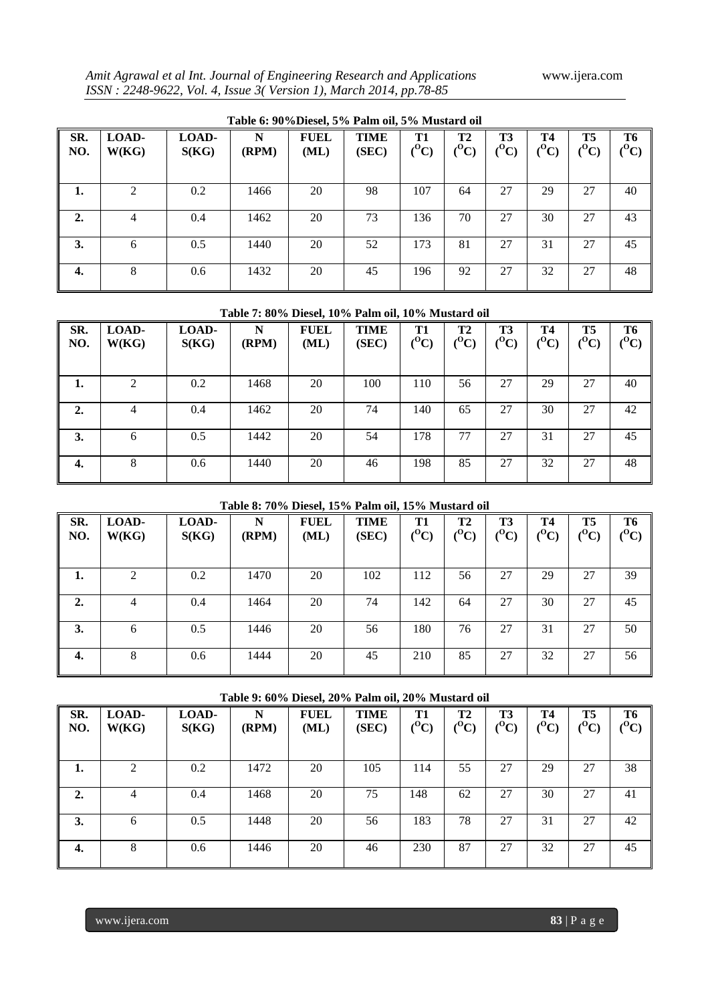*Amit Agrawal et al Int. Journal of Engineering Research and Applications* www.ijera.com *ISSN : 2248-9622, Vol. 4, Issue 3( Version 1), March 2014, pp.78-85*

|            | Table 6: 90%Diesel, 5% Palm oil, 5% Mustard oil |                |            |                     |                      |               |                                    |                               |                               |                                 |               |  |  |  |
|------------|-------------------------------------------------|----------------|------------|---------------------|----------------------|---------------|------------------------------------|-------------------------------|-------------------------------|---------------------------------|---------------|--|--|--|
| SR.<br>NO. | LOAD-<br>W(KG)                                  | LOAD-<br>S(KG) | N<br>(RPM) | <b>FUEL</b><br>(ML) | <b>TIME</b><br>(SEC) | T1<br>$(^0C)$ | T <sub>2</sub><br>$(^0\mathrm{C})$ | <b>T3</b><br>$(^0\mathrm{C})$ | <b>T4</b><br>$(^0\mathrm{C})$ | T <sub>5</sub><br>$\rm ^{(O}C)$ | T6<br>$(^0C)$ |  |  |  |
| 1.         |                                                 | 0.2            | 1466       | 20                  | 98                   | 107           | 64                                 | 27                            | 29                            | 27                              | 40            |  |  |  |
| 2.         | 4                                               | 0.4            | 1462       | 20                  | 73                   | 136           | 70                                 | 27                            | 30                            | 27                              | 43            |  |  |  |
| 3.         | 6                                               | 0.5            | 1440       | 20                  | 52                   | 173           | 81                                 | 27                            | 31                            | 27                              | 45            |  |  |  |
| 4.         | 8                                               | 0.6            | 1432       | 20                  | 45                   | 196           | 92                                 | 27                            | 32                            | 27                              | 48            |  |  |  |

## **Table 6: 90%Diesel, 5% Palm oil, 5% Mustard oil**

## **Table 7: 80% Diesel, 10% Palm oil, 10% Mustard oil**

| SR.<br>NO. | LOAD-<br>W(KG) | LOAD-<br>S(KG) | N<br>(RPM) | <b>FUEL</b><br>(ML) | TIME<br>(SEC) | T1<br>$\rm ^{(O}C)$ | <b>T2</b><br>$\rm ^{(O}C)$ | T3<br>$\rm ^{(O}C)$ | <b>T4</b><br>$\rm ^{(O}C)$ | T5<br>$\rm ^{(O}C)$ | T <sub>6</sub><br>$(^0C)$ |
|------------|----------------|----------------|------------|---------------------|---------------|---------------------|----------------------------|---------------------|----------------------------|---------------------|---------------------------|
| ı.         | ◠              | 0.2            | 1468       | 20                  | 100           | 110                 | 56                         | 27                  | 29                         | 27                  | 40                        |
| 2.         | 4              | 0.4            | 1462       | 20                  | 74            | 140                 | 65                         | 27                  | 30                         | 27                  | 42                        |
| 3.         | 6              | 0.5            | 1442       | 20                  | 54            | 178                 | 77                         | 27                  | 31                         | 27                  | 45                        |
| 4.         | 8              | 0.6            | 1440       | 20                  | 46            | 198                 | 85                         | 27                  | 32                         | 27                  | 48                        |

## **Table 8: 70% Diesel, 15% Palm oil, 15% Mustard oil**

| SR.<br>NO. | LOAD-<br>W(KG) | LOAD-<br>S(KG) | N<br>(RPM) | <b>FUEL</b><br>(ML) | <b>TIME</b><br>(SEC) | <b>T1</b><br>$(^0C)$ | <b>T2</b><br>${}^{(0}\mathrm{C})$ | <b>T3</b><br>$({}^0\mathrm{C})$ | <b>T4</b><br>${}^{(0}C)$ | T <sub>5</sub><br>$({}^0C)$ | T6<br>$\rm ^{(O}C)$ |
|------------|----------------|----------------|------------|---------------------|----------------------|----------------------|-----------------------------------|---------------------------------|--------------------------|-----------------------------|---------------------|
| ı.         |                | 0.2            | 1470       | 20                  | 102                  | 112                  | 56                                | 27                              | 29                       | 27                          | 39                  |
| 2.         | 4              | 0.4            | 1464       | 20                  | 74                   | 142                  | 64                                | 27                              | 30                       | 27                          | 45                  |
| 3.         | 6              | 0.5            | 1446       | 20                  | 56                   | 180                  | 76                                | 27                              | 31                       | 27                          | 50                  |
| 4.         | 8              | 0.6            | 1444       | 20                  | 45                   | 210                  | 85                                | 27                              | 32                       | 27                          | 56                  |

## **Table 9: 60% Diesel, 20% Palm oil, 20% Mustard oil**

| SR.<br>NO. | LOAD-<br>W(KG)              | LOAD-<br>S(KG) | N<br>(RPM) | <b>FUEL</b><br>(ML) | <b>TIME</b><br>(SEC) | <b>T1</b><br>$(^0C)$ | <b>T2</b><br>$({}^0\mathrm{C})$ | T <sub>3</sub><br>$(^0\mathrm{C})$ | <b>T4</b><br>$\rm ^{(O}C)$ | T5<br>$({}^0C)$ | <b>T6</b><br>$\rm ^{(O}C)$ |
|------------|-----------------------------|----------------|------------|---------------------|----------------------|----------------------|---------------------------------|------------------------------------|----------------------------|-----------------|----------------------------|
| 1.         | $\mathcal{D}_{\mathcal{L}}$ | 0.2            | 1472       | 20                  | 105                  | 114                  | 55                              | 27                                 | 29                         | 27              | 38                         |
| 2.         | 4                           | 0.4            | 1468       | 20                  | 75                   | 148                  | 62                              | 27                                 | 30                         | 27              | 41                         |
| 3.         | 6                           | 0.5            | 1448       | 20                  | 56                   | 183                  | 78                              | 27                                 | 31                         | 27              | 42                         |
| 4.         | 8                           | 0.6            | 1446       | 20                  | 46                   | 230                  | 87                              | 27                                 | 32                         | 27              | 45                         |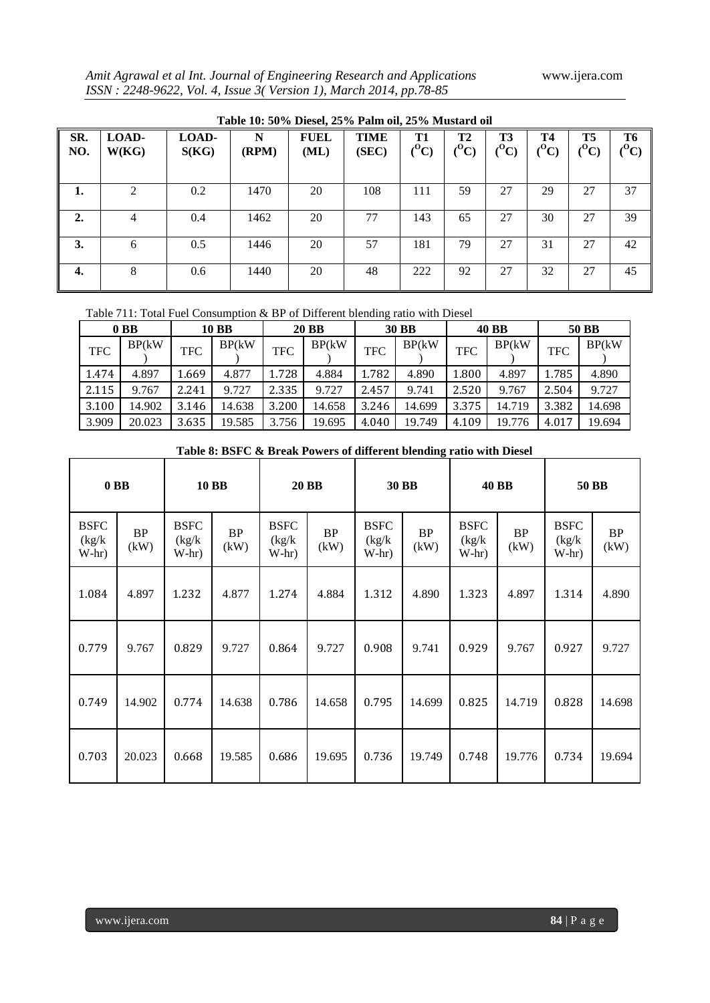*Amit Agrawal et al Int. Journal of Engineering Research and Applications* www.ijera.com *ISSN : 2248-9622, Vol. 4, Issue 3( Version 1), March 2014, pp.78-85*

|            | Table 10: 50% Diesel, 25% Palm oil, 25% Mustard oil |                |            |                     |               |                      |                      |                            |                            |                        |                            |  |  |  |
|------------|-----------------------------------------------------|----------------|------------|---------------------|---------------|----------------------|----------------------|----------------------------|----------------------------|------------------------|----------------------------|--|--|--|
| SR.<br>NO. | LOAD-<br>W(KG)                                      | LOAD-<br>S(KG) | N<br>(RPM) | <b>FUEL</b><br>(ML) | TIME<br>(SEC) | <b>T1</b><br>$(^0C)$ | <b>T2</b><br>$(^0C)$ | <b>T3</b><br>$\rm ^{(O}C)$ | <b>T4</b><br>$\rm ^{(O}C)$ | <b>T5</b><br>$({}^0C)$ | <b>T6</b><br>$\rm ^{(O}C)$ |  |  |  |
| 1.         | $\mathfrak{D}$                                      | 0.2            | 1470       | 20                  | 108           | 111                  | 59                   | 27                         | 29                         | 27                     | 37                         |  |  |  |
| 2.         | 4                                                   | 0.4            | 1462       | 20                  | 77            | 143                  | 65                   | 27                         | 30                         | 27                     | 39                         |  |  |  |
| 3.         | 6                                                   | 0.5            | 1446       | 20                  | 57            | 181                  | 79                   | 27                         | 31                         | 27                     | 42                         |  |  |  |
| 4.         | 8                                                   | 0.6            | 1440       | 20                  | 48            | 222                  | 92                   | 27                         | 32                         | 27                     | 45                         |  |  |  |

Table 711: Total Fuel Consumption & BP of Different blending ratio with Diesel

|            | 0 <sub>B</sub> B |            | 10 BB  |       | <b>20 BB</b> | <b>30 BB</b> |        | <b>40 BB</b> |        |       | 50 BB  |
|------------|------------------|------------|--------|-------|--------------|--------------|--------|--------------|--------|-------|--------|
| <b>TFC</b> | BP(kW)           | <b>TFC</b> | BP(kW) | TFC   | BP(kW)       | <b>TFC</b>   | BP(kW) | <b>TFC</b>   | BP(kW) | TFC   | BP(kW) |
| 1.474      | 4.897            | 1.669      | 4.877  | 1.728 | 4.884        | 1.782        | 4.890  | 1.800        | 4.897  | 1.785 | 4.890  |
| 2.115      | 9.767            | 2.241      | 9.727  | 2.335 | 9.727        | 2.457        | 9.741  | 2.520        | 9.767  | 2.504 | 9.727  |
| 3.100      | 14.902           | 3.146      | 14.638 | 3.200 | 14.658       | 3.246        | 14.699 | 3.375        | 14.719 | 3.382 | 14.698 |
| 3.909      | 20.023           | 3.635      | 19.585 | 3.756 | 19.695       | 4.040        | 19.749 | 4.109        | 19.776 | 4.017 | 19.694 |

# **Table 8: BSFC & Break Powers of different blending ratio with Diesel**

| 0 <sub>B</sub> B                 |                   | <b>10 BB</b>                     |            | <b>20 BB</b>                     |            | <b>30 BB</b>                     |                   | <b>40 BB</b>                     |            | 50 BB                            |                   |
|----------------------------------|-------------------|----------------------------------|------------|----------------------------------|------------|----------------------------------|-------------------|----------------------------------|------------|----------------------------------|-------------------|
| <b>BSFC</b><br>(kg/k)<br>$W-hr)$ | <b>BP</b><br>(kW) | <b>BSFC</b><br>(kg/k)<br>$W-hr)$ | BP<br>(kW) | <b>BSFC</b><br>(kg/k)<br>$W-hr)$ | BP<br>(kW) | <b>BSFC</b><br>(kg/k)<br>$W-hr)$ | <b>BP</b><br>(kW) | <b>BSFC</b><br>(kg/k)<br>$W-hr)$ | BP<br>(kW) | <b>BSFC</b><br>(kg/k)<br>$W-hr)$ | <b>BP</b><br>(kW) |
| 1.084                            | 4.897             | 1.232                            | 4.877      | 1.274                            | 4.884      | 1.312                            | 4.890             | 1.323                            | 4.897      | 1.314                            | 4.890             |
| 0.779                            | 9.767             | 0.829                            | 9.727      | 0.864                            | 9.727      | 0.908                            | 9.741             | 0.929                            | 9.767      | 0.927                            | 9.727             |
| 0.749                            | 14.902            | 0.774                            | 14.638     | 0.786                            | 14.658     | 0.795                            | 14.699            | 0.825                            | 14.719     | 0.828                            | 14.698            |
| 0.703                            | 20.023            | 0.668                            | 19.585     | 0.686                            | 19.695     | 0.736                            | 19.749            | 0.748                            | 19.776     | 0.734                            | 19.694            |